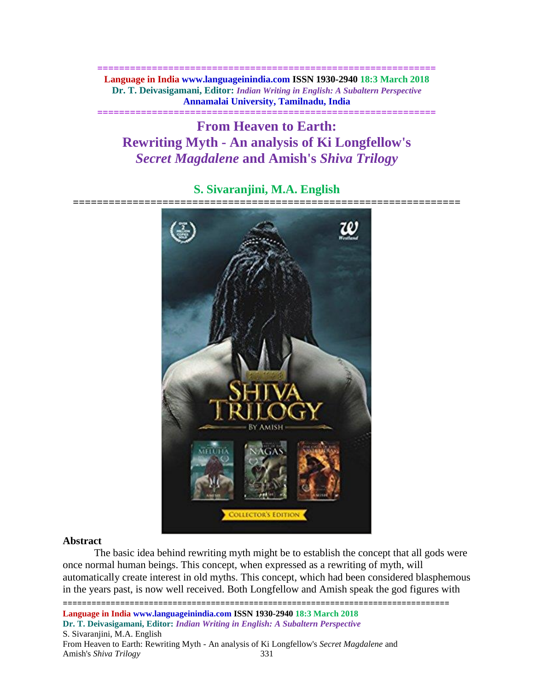**============================================================== Language in India www.languageinindia.com ISSN 1930-2940 18:3 March 2018 Dr. T. Deivasigamani, Editor:** *Indian Writing in English: A Subaltern Perspective* **Annamalai University, Tamilnadu, India**

**==============================================================**

**From Heaven to Earth: Rewriting Myth - An analysis of Ki Longfellow's**  *Secret Magdalene* **and Amish's** *Shiva Trilogy*

# **S. Sivaranjini, M.A. English**



#### **Abstract**

The basic idea behind rewriting myth might be to establish the concept that all gods were once normal human beings. This concept, when expressed as a rewriting of myth, will automatically create interest in old myths. This concept, which had been considered blasphemous in the years past, is now well received. Both Longfellow and Amish speak the god figures with

=================================================================================

**Language in India www.languageinindia.com ISSN 1930-2940 18:3 March 2018 Dr. T. Deivasigamani, Editor:** *Indian Writing in English: A Subaltern Perspective* S. Sivaranjini, M.A. English From Heaven to Earth: Rewriting Myth - An analysis of Ki Longfellow's *Secret Magdalene* and Amish's *Shiva Trilogy* 331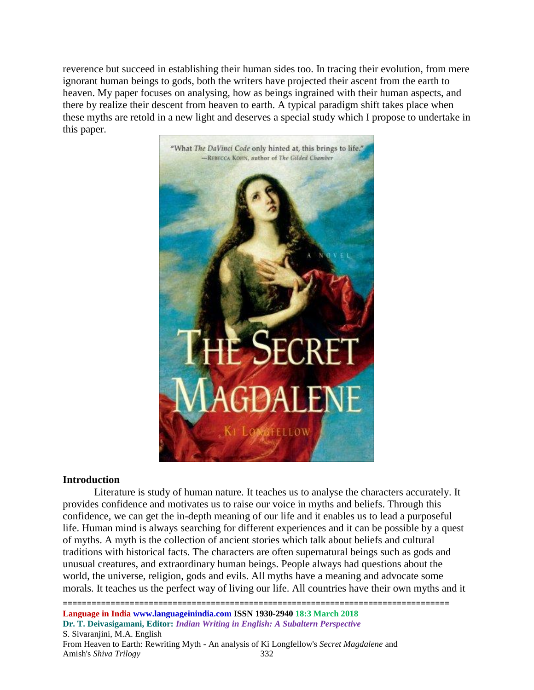reverence but succeed in establishing their human sides too. In tracing their evolution, from mere ignorant human beings to gods, both the writers have projected their ascent from the earth to heaven. My paper focuses on analysing, how as beings ingrained with their human aspects, and there by realize their descent from heaven to earth. A typical paradigm shift takes place when these myths are retold in a new light and deserves a special study which I propose to undertake in this paper.



## **Introduction**

Literature is study of human nature. It teaches us to analyse the characters accurately. It provides confidence and motivates us to raise our voice in myths and beliefs. Through this confidence, we can get the in-depth meaning of our life and it enables us to lead a purposeful life. Human mind is always searching for different experiences and it can be possible by a quest of myths. A myth is the collection of ancient stories which talk about beliefs and cultural traditions with historical facts. The characters are often supernatural beings such as gods and unusual creatures, and extraordinary human beings. People always had questions about the world, the universe, religion, gods and evils. All myths have a meaning and advocate some morals. It teaches us the perfect way of living our life. All countries have their own myths and it

================================================================================= **Language in India www.languageinindia.com ISSN 1930-2940 18:3 March 2018 Dr. T. Deivasigamani, Editor:** *Indian Writing in English: A Subaltern Perspective* S. Sivaranjini, M.A. English From Heaven to Earth: Rewriting Myth - An analysis of Ki Longfellow's *Secret Magdalene* and Amish's *Shiva Trilogy* 332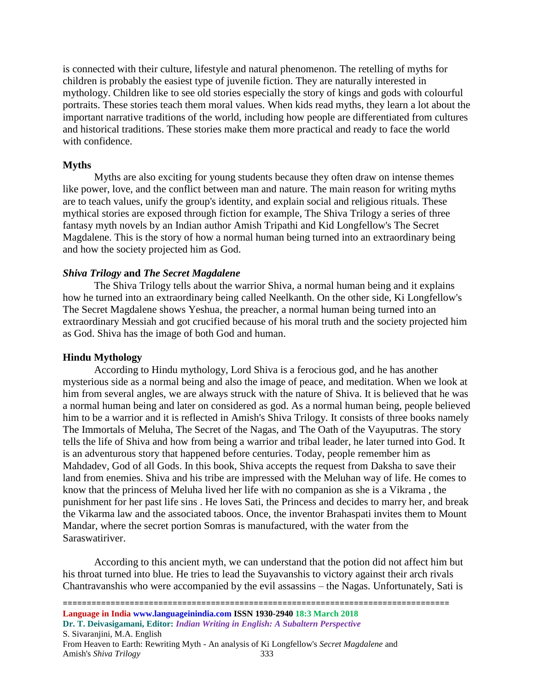is connected with their culture, lifestyle and natural phenomenon. The retelling of myths for children is probably the easiest type of juvenile fiction. They are naturally interested in mythology. Children like to see old stories especially the story of kings and gods with colourful portraits. These stories teach them moral values. When kids read myths, they learn a lot about the important narrative traditions of the world, including how people are differentiated from cultures and historical traditions. These stories make them more practical and ready to face the world with confidence.

#### **Myths**

Myths are also exciting for young students because they often draw on intense themes like power, love, and the conflict between man and nature. The main reason for writing myths are to teach values, unify the group's identity, and explain social and religious rituals. These mythical stories are exposed through fiction for example, The Shiva Trilogy a series of three fantasy myth novels by an Indian author Amish Tripathi and Kid Longfellow's The Secret Magdalene. This is the story of how a normal human being turned into an extraordinary being and how the society projected him as God.

## *Shiva Trilogy* **and** *The Secret Magdalene*

The Shiva Trilogy tells about the warrior Shiva, a normal human being and it explains how he turned into an extraordinary being called Neelkanth. On the other side, Ki Longfellow's The Secret Magdalene shows Yeshua, the preacher, a normal human being turned into an extraordinary Messiah and got crucified because of his moral truth and the society projected him as God. Shiva has the image of both God and human.

#### **Hindu Mythology**

According to Hindu mythology, Lord Shiva is a ferocious god, and he has another mysterious side as a normal being and also the image of peace, and meditation. When we look at him from several angles, we are always struck with the nature of Shiva. It is believed that he was a normal human being and later on considered as god. As a normal human being, people believed him to be a warrior and it is reflected in Amish's Shiva Trilogy. It consists of three books namely The Immortals of Meluha, The Secret of the Nagas, and The Oath of the Vayuputras. The story tells the life of Shiva and how from being a warrior and tribal leader, he later turned into God. It is an adventurous story that happened before centuries. Today, people remember him as Mahdadev, God of all Gods. In this book, Shiva accepts the request from Daksha to save their land from enemies. Shiva and his tribe are impressed with the Meluhan way of life. He comes to know that the princess of Meluha lived her life with no companion as she is a Vikrama , the punishment for her past life sins . He loves Sati, the Princess and decides to marry her, and break the Vikarma law and the associated taboos. Once, the inventor Brahaspati invites them to Mount Mandar, where the secret portion Somras is manufactured, with the water from the Saraswatiriver.

According to this ancient myth, we can understand that the potion did not affect him but his throat turned into blue. He tries to lead the Suyavanshis to victory against their arch rivals Chantravanshis who were accompanied by the evil assassins – the Nagas. Unfortunately, Sati is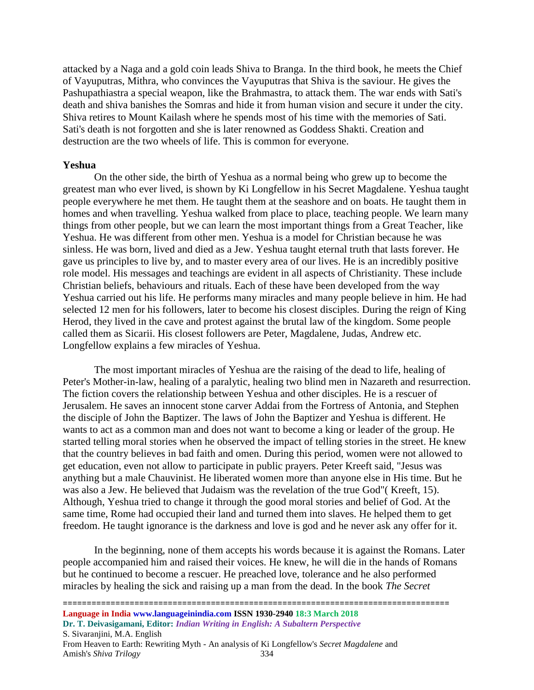attacked by a Naga and a gold coin leads Shiva to Branga. In the third book, he meets the Chief of Vayuputras, Mithra, who convinces the Vayuputras that Shiva is the saviour. He gives the Pashupathiastra a special weapon, like the Brahmastra, to attack them. The war ends with Sati's death and shiva banishes the Somras and hide it from human vision and secure it under the city. Shiva retires to Mount Kailash where he spends most of his time with the memories of Sati. Sati's death is not forgotten and she is later renowned as Goddess Shakti. Creation and destruction are the two wheels of life. This is common for everyone.

#### **Yeshua**

On the other side, the birth of Yeshua as a normal being who grew up to become the greatest man who ever lived, is shown by Ki Longfellow in his Secret Magdalene. Yeshua taught people everywhere he met them. He taught them at the seashore and on boats. He taught them in homes and when travelling. Yeshua walked from place to place, teaching people. We learn many things from other people, but we can learn the most important things from a Great Teacher, like Yeshua. He was different from other men. Yeshua is a model for Christian because he was sinless. He was born, lived and died as a Jew. Yeshua taught eternal truth that lasts forever. He gave us principles to live by, and to master every area of our lives. He is an incredibly positive role model. His messages and teachings are evident in all aspects of Christianity. These include Christian beliefs, behaviours and rituals. Each of these have been developed from the way Yeshua carried out his life. He performs many miracles and many people believe in him. He had selected 12 men for his followers, later to become his closest disciples. During the reign of King Herod, they lived in the cave and protest against the brutal law of the kingdom. Some people called them as Sicarii. His closest followers are Peter, Magdalene, Judas, Andrew etc. Longfellow explains a few miracles of Yeshua.

The most important miracles of Yeshua are the raising of the dead to life, healing of Peter's Mother-in-law, healing of a paralytic, healing two blind men in Nazareth and resurrection. The fiction covers the relationship between Yeshua and other disciples. He is a rescuer of Jerusalem. He saves an innocent stone carver Addai from the Fortress of Antonia, and Stephen the disciple of John the Baptizer. The laws of John the Baptizer and Yeshua is different. He wants to act as a common man and does not want to become a king or leader of the group. He started telling moral stories when he observed the impact of telling stories in the street. He knew that the country believes in bad faith and omen. During this period, women were not allowed to get education, even not allow to participate in public prayers. Peter Kreeft said, "Jesus was anything but a male Chauvinist. He liberated women more than anyone else in His time. But he was also a Jew. He believed that Judaism was the revelation of the true God"( Kreeft, 15). Although, Yeshua tried to change it through the good moral stories and belief of God. At the same time, Rome had occupied their land and turned them into slaves. He helped them to get freedom. He taught ignorance is the darkness and love is god and he never ask any offer for it.

In the beginning, none of them accepts his words because it is against the Romans. Later people accompanied him and raised their voices. He knew, he will die in the hands of Romans but he continued to become a rescuer. He preached love, tolerance and he also performed miracles by healing the sick and raising up a man from the dead. In the book *The Secret*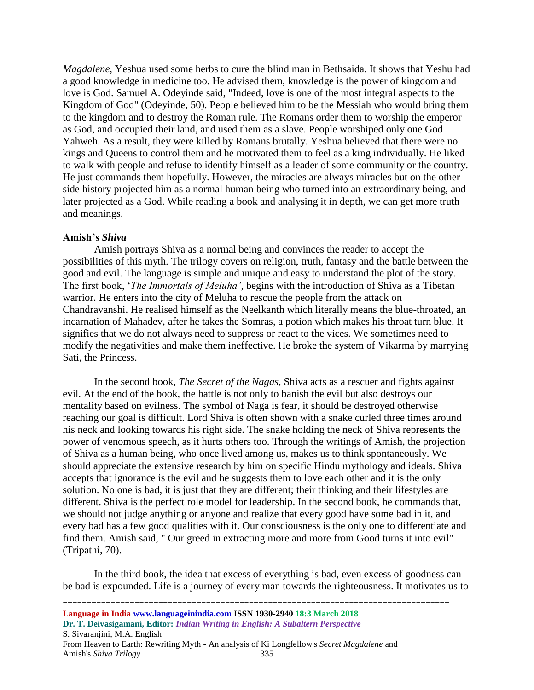*Magdalene*, Yeshua used some herbs to cure the blind man in Bethsaida. It shows that Yeshu had a good knowledge in medicine too. He advised them, knowledge is the power of kingdom and love is God. Samuel A. Odeyinde said, "Indeed, love is one of the most integral aspects to the Kingdom of God" (Odeyinde, 50). People believed him to be the Messiah who would bring them to the kingdom and to destroy the Roman rule. The Romans order them to worship the emperor as God, and occupied their land, and used them as a slave. People worshiped only one God Yahweh. As a result, they were killed by Romans brutally. Yeshua believed that there were no kings and Queens to control them and he motivated them to feel as a king individually. He liked to walk with people and refuse to identify himself as a leader of some community or the country. He just commands them hopefully. However, the miracles are always miracles but on the other side history projected him as a normal human being who turned into an extraordinary being, and later projected as a God. While reading a book and analysing it in depth, we can get more truth and meanings.

#### **Amish's** *Shiva*

Amish portrays Shiva as a normal being and convinces the reader to accept the possibilities of this myth. The trilogy covers on religion, truth, fantasy and the battle between the good and evil. The language is simple and unique and easy to understand the plot of the story. The first book, '*The Immortals of Meluha'*, begins with the introduction of Shiva as a Tibetan warrior. He enters into the city of Meluha to rescue the people from the attack on Chandravanshi. He realised himself as the Neelkanth which literally means the blue-throated, an incarnation of Mahadev, after he takes the Somras, a potion which makes his throat turn blue. It signifies that we do not always need to suppress or react to the vices. We sometimes need to modify the negativities and make them ineffective. He broke the system of Vikarma by marrying Sati, the Princess.

In the second book, *The Secret of the Nagas,* Shiva acts as a rescuer and fights against evil. At the end of the book, the battle is not only to banish the evil but also destroys our mentality based on evilness. The symbol of Naga is fear, it should be destroyed otherwise reaching our goal is difficult. Lord Shiva is often shown with a snake curled three times around his neck and looking towards his right side. The snake holding the neck of Shiva represents the power of venomous speech, as it hurts others too. Through the writings of Amish, the projection of Shiva as a human being, who once lived among us, makes us to think spontaneously. We should appreciate the extensive research by him on specific Hindu mythology and ideals. Shiva accepts that ignorance is the evil and he suggests them to love each other and it is the only solution. No one is bad, it is just that they are different; their thinking and their lifestyles are different. Shiva is the perfect role model for leadership. In the second book, he commands that, we should not judge anything or anyone and realize that every good have some bad in it, and every bad has a few good qualities with it. Our consciousness is the only one to differentiate and find them. Amish said, " Our greed in extracting more and more from Good turns it into evil" (Tripathi, 70).

In the third book, the idea that excess of everything is bad, even excess of goodness can be bad is expounded. Life is a journey of every man towards the righteousness. It motivates us to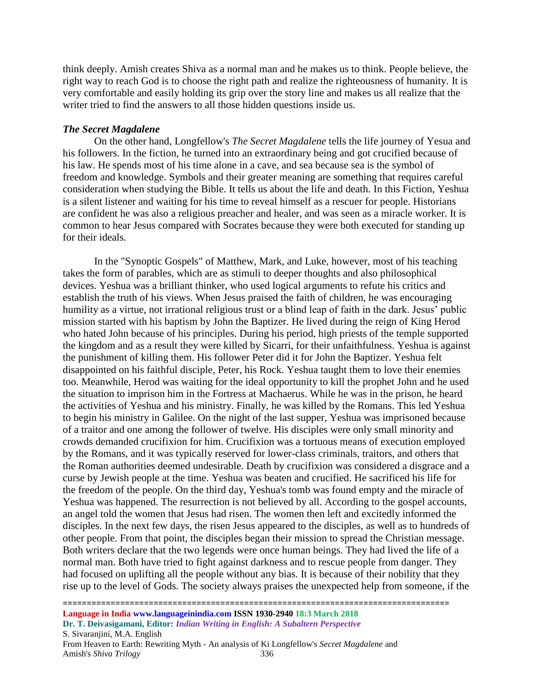think deeply. Amish creates Shiva as a normal man and he makes us to think. People believe, the right way to reach God is to choose the right path and realize the righteousness of humanity. It is very comfortable and easily holding its grip over the story line and makes us all realize that the writer tried to find the answers to all those hidden questions inside us.

#### *The Secret Magdalene*

On the other hand, Longfellow's *The Secret Magdalene* tells the life journey of Yesua and his followers. In the fiction, he turned into an extraordinary being and got crucified because of his law. He spends most of his time alone in a cave, and sea because sea is the symbol of freedom and knowledge. Symbols and their greater meaning are something that requires careful consideration when studying the Bible. It tells us about the life and death. In this Fiction, Yeshua is a silent listener and waiting for his time to reveal himself as a rescuer for people. Historians are confident he was also a religious preacher and healer, and was seen as a miracle worker. It is common to hear Jesus compared with Socrates because they were both executed for standing up for their ideals.

In the "Synoptic Gospels" of Matthew, Mark, and Luke, however, most of his teaching takes the form of parables, which are as stimuli to deeper thoughts and also philosophical devices. Yeshua was a brilliant thinker, who used logical arguments to refute his critics and establish the truth of his views. When Jesus praised the faith of children, he was encouraging humility as a virtue, not irrational religious trust or a blind leap of faith in the dark. Jesus' public mission started with his baptism by John the Baptizer. He lived during the reign of King Herod who hated John because of his principles. During his period, high priests of the temple supported the kingdom and as a result they were killed by Sicarri, for their unfaithfulness. Yeshua is against the punishment of killing them. His follower Peter did it for John the Baptizer. Yeshua felt disappointed on his faithful disciple, Peter, his Rock. Yeshua taught them to love their enemies too. Meanwhile, Herod was waiting for the ideal opportunity to kill the prophet John and he used the situation to imprison him in the Fortress at Machaerus. While he was in the prison, he heard the activities of Yeshua and his ministry. Finally, he was killed by the Romans. This led Yeshua to begin his ministry in Galilee. On the night of the last supper, Yeshua was imprisoned because of a traitor and one among the follower of twelve. His disciples were only small minority and crowds demanded crucifixion for him. Crucifixion was a tortuous means of execution employed by the Romans, and it was typically reserved for lower-class criminals, traitors, and others that the Roman authorities deemed undesirable. Death by crucifixion was considered a disgrace and a curse by Jewish people at the time. Yeshua was beaten and crucified. He sacrificed his life for the freedom of the people. On the third day, Yeshua's tomb was found empty and the miracle of Yeshua was happened. The resurrection is not believed by all. According to the gospel accounts, an angel told the women that Jesus had risen. The women then left and excitedly informed the disciples. In the next few days, the risen Jesus appeared to the disciples, as well as to hundreds of other people. From that point, the disciples began their mission to spread the Christian message. Both writers declare that the two legends were once human beings. They had lived the life of a normal man. Both have tried to fight against darkness and to rescue people from danger. They had focused on uplifting all the people without any bias. It is because of their nobility that they rise up to the level of Gods. The society always praises the unexpected help from someone, if the

=================================================================================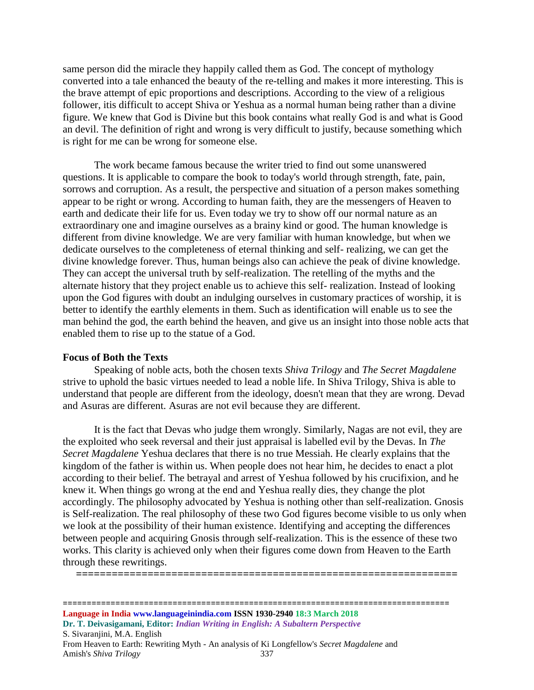same person did the miracle they happily called them as God. The concept of mythology converted into a tale enhanced the beauty of the re-telling and makes it more interesting. This is the brave attempt of epic proportions and descriptions. According to the view of a religious follower, itis difficult to accept Shiva or Yeshua as a normal human being rather than a divine figure. We knew that God is Divine but this book contains what really God is and what is Good an devil. The definition of right and wrong is very difficult to justify, because something which is right for me can be wrong for someone else.

The work became famous because the writer tried to find out some unanswered questions. It is applicable to compare the book to today's world through strength, fate, pain, sorrows and corruption. As a result, the perspective and situation of a person makes something appear to be right or wrong. According to human faith, they are the messengers of Heaven to earth and dedicate their life for us. Even today we try to show off our normal nature as an extraordinary one and imagine ourselves as a brainy kind or good. The human knowledge is different from divine knowledge. We are very familiar with human knowledge, but when we dedicate ourselves to the completeness of eternal thinking and self- realizing, we can get the divine knowledge forever. Thus, human beings also can achieve the peak of divine knowledge. They can accept the universal truth by self-realization. The retelling of the myths and the alternate history that they project enable us to achieve this self- realization. Instead of looking upon the God figures with doubt an indulging ourselves in customary practices of worship, it is better to identify the earthly elements in them. Such as identification will enable us to see the man behind the god, the earth behind the heaven, and give us an insight into those noble acts that enabled them to rise up to the statue of a God.

#### **Focus of Both the Texts**

Speaking of noble acts, both the chosen texts *Shiva Trilogy* and *The Secret Magdalene* strive to uphold the basic virtues needed to lead a noble life. In Shiva Trilogy, Shiva is able to understand that people are different from the ideology, doesn't mean that they are wrong. Devad and Asuras are different. Asuras are not evil because they are different.

It is the fact that Devas who judge them wrongly. Similarly, Nagas are not evil, they are the exploited who seek reversal and their just appraisal is labelled evil by the Devas. In *The Secret Magdalene* Yeshua declares that there is no true Messiah. He clearly explains that the kingdom of the father is within us. When people does not hear him, he decides to enact a plot according to their belief. The betrayal and arrest of Yeshua followed by his crucifixion, and he knew it. When things go wrong at the end and Yeshua really dies, they change the plot accordingly. The philosophy advocated by Yeshua is nothing other than self-realization. Gnosis is Self-realization. The real philosophy of these two God figures become visible to us only when we look at the possibility of their human existence. Identifying and accepting the differences between people and acquiring Gnosis through self-realization. This is the essence of these two works. This clarity is achieved only when their figures come down from Heaven to the Earth through these rewritings.

**================================================================**

================================================================================= **Language in India www.languageinindia.com ISSN 1930-2940 18:3 March 2018 Dr. T. Deivasigamani, Editor:** *Indian Writing in English: A Subaltern Perspective* S. Sivaranjini, M.A. English From Heaven to Earth: Rewriting Myth - An analysis of Ki Longfellow's *Secret Magdalene* and Amish's *Shiva Trilogy* 337